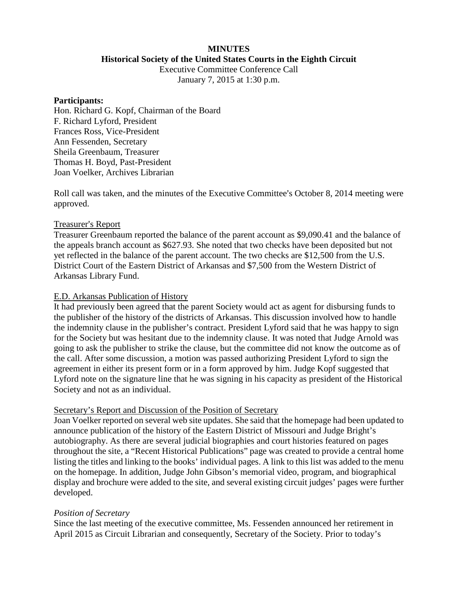# **MINUTES Historical Society of the United States Courts in the Eighth Circuit**

Executive Committee Conference Call

January 7, 2015 at 1:30 p.m.

#### **Participants:**

Hon. Richard G. Kopf, Chairman of the Board F. Richard Lyford, President Frances Ross, Vice-President Ann Fessenden, Secretary Sheila Greenbaum, Treasurer Thomas H. Boyd, Past-President Joan Voelker, Archives Librarian

Roll call was taken, and the minutes of the Executive Committee's October 8, 2014 meeting were approved.

### Treasurer's Report

Treasurer Greenbaum reported the balance of the parent account as \$9,090.41 and the balance of the appeals branch account as \$627.93. She noted that two checks have been deposited but not yet reflected in the balance of the parent account. The two checks are \$12,500 from the U.S. District Court of the Eastern District of Arkansas and \$7,500 from the Western District of Arkansas Library Fund.

### E.D. Arkansas Publication of History

It had previously been agreed that the parent Society would act as agent for disbursing funds to the publisher of the history of the districts of Arkansas. This discussion involved how to handle the indemnity clause in the publisher's contract. President Lyford said that he was happy to sign for the Society but was hesitant due to the indemnity clause. It was noted that Judge Arnold was going to ask the publisher to strike the clause, but the committee did not know the outcome as of the call. After some discussion, a motion was passed authorizing President Lyford to sign the agreement in either its present form or in a form approved by him. Judge Kopf suggested that Lyford note on the signature line that he was signing in his capacity as president of the Historical Society and not as an individual.

#### Secretary's Report and Discussion of the Position of Secretary

Joan Voelker reported on several web site updates. She said that the homepage had been updated to announce publication of the history of the Eastern District of Missouri and Judge Bright's autobiography. As there are several judicial biographies and court histories featured on pages throughout the site, a "Recent Historical Publications" page was created to provide a central home listing the titles and linking to the books' individual pages. A link to this list was added to the menu on the homepage. In addition, Judge John Gibson's memorial video, program, and biographical display and brochure were added to the site, and several existing circuit judges' pages were further developed.

### *Position of Secretary*

Since the last meeting of the executive committee, Ms. Fessenden announced her retirement in April 2015 as Circuit Librarian and consequently, Secretary of the Society. Prior to today's